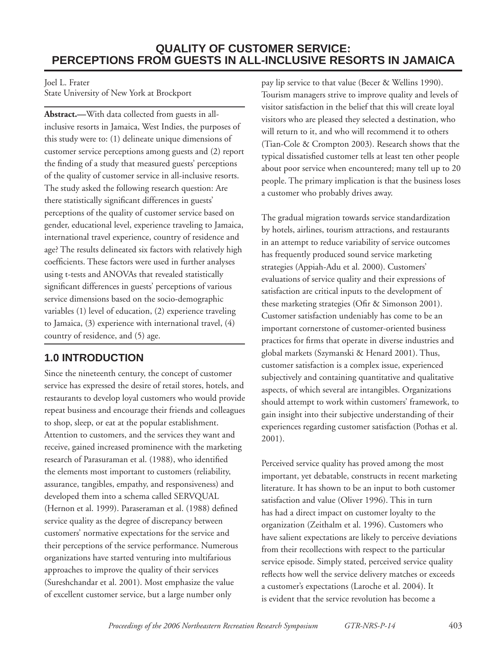## **QUALITY OF CUSTOMER SERVICE: PERCEPTIONS FROM GUESTS IN ALL-INCLUSIVE RESORTS IN JAMAICA**

Joel L. Frater

State University of New York at Brockport

**Abstract.—**With data collected from guests in allinclusive resorts in Jamaica, West Indies, the purposes of this study were to: (1) delineate unique dimensions of customer service perceptions among guests and (2) report the finding of a study that measured guests' perceptions of the quality of customer service in all-inclusive resorts. The study asked the following research question: Are there statistically significant differences in guests' perceptions of the quality of customer service based on gender, educational level, experience traveling to Jamaica, international travel experience, country of residence and age? The results delineated six factors with relatively high coefficients. These factors were used in further analyses using t-tests and ANOVAs that revealed statistically significant differences in guests' perceptions of various service dimensions based on the socio-demographic variables (1) level of education, (2) experience traveling to Jamaica, (3) experience with international travel, (4) country of residence, and (5) age.

# **1.0 INTRODUCTION**

Since the nineteenth century, the concept of customer service has expressed the desire of retail stores, hotels, and restaurants to develop loyal customers who would provide repeat business and encourage their friends and colleagues to shop, sleep, or eat at the popular establishment. Attention to customers, and the services they want and receive, gained increased prominence with the marketing research of Parasuraman et al. (1988), who identified the elements most important to customers (reliability, assurance, tangibles, empathy, and responsiveness) and developed them into a schema called SERVQUAL (Hernon et al. 1999). Paraseraman et al. (1988) defined service quality as the degree of discrepancy between customers' normative expectations for the service and their perceptions of the service performance. Numerous organizations have started venturing into multifarious approaches to improve the quality of their services (Sureshchandar et al. 2001). Most emphasize the value of excellent customer service, but a large number only

pay lip service to that value (Becer & Wellins 1990). Tourism managers strive to improve quality and levels of visitor satisfaction in the belief that this will create loyal visitors who are pleased they selected a destination, who will return to it, and who will recommend it to others (Tian-Cole & Crompton 2003). Research shows that the typical dissatisfied customer tells at least ten other people about poor service when encountered; many tell up to 20 people. The primary implication is that the business loses a customer who probably drives away.

The gradual migration towards service standardization by hotels, airlines, tourism attractions, and restaurants in an attempt to reduce variability of service outcomes has frequently produced sound service marketing strategies (Appiah-Adu et al. 2000). Customers' evaluations of service quality and their expressions of satisfaction are critical inputs to the development of these marketing strategies (Ofir & Simonson 2001). Customer satisfaction undeniably has come to be an important cornerstone of customer-oriented business practices for firms that operate in diverse industries and global markets (Szymanski & Henard 2001). Thus, customer satisfaction is a complex issue, experienced subjectively and containing quantitative and qualitative aspects, of which several are intangibles. Organizations should attempt to work within customers' framework, to gain insight into their subjective understanding of their experiences regarding customer satisfaction (Pothas et al. 2001).

Perceived service quality has proved among the most important, yet debatable, constructs in recent marketing literature. It has shown to be an input to both customer satisfaction and value (Oliver 1996). This in turn has had a direct impact on customer loyalty to the organization (Zeithalm et al. 1996). Customers who have salient expectations are likely to perceive deviations from their recollections with respect to the particular service episode. Simply stated, perceived service quality reflects how well the service delivery matches or exceeds a customer's expectations (Laroche et al. 2004). It is evident that the service revolution has become a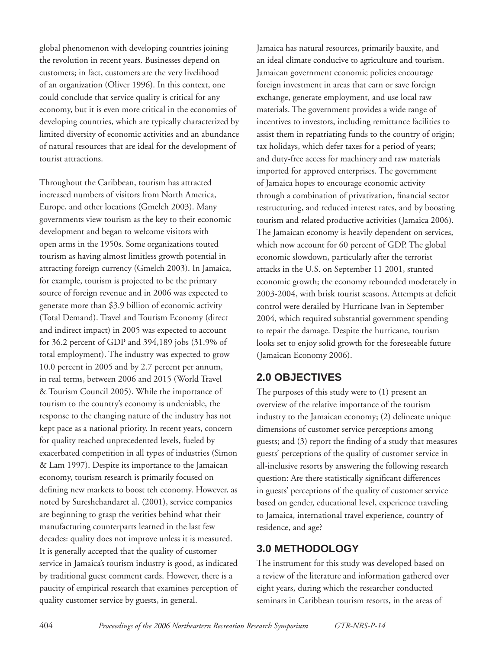global phenomenon with developing countries joining the revolution in recent years. Businesses depend on customers; in fact, customers are the very livelihood of an organization (Oliver 1996). In this context, one could conclude that service quality is critical for any economy, but it is even more critical in the economies of developing countries, which are typically characterized by limited diversity of economic activities and an abundance of natural resources that are ideal for the development of tourist attractions.

Throughout the Caribbean, tourism has attracted increased numbers of visitors from North America, Europe, and other locations (Gmelch 2003). Many governments view tourism as the key to their economic development and began to welcome visitors with open arms in the 1950s. Some organizations touted tourism as having almost limitless growth potential in attracting foreign currency (Gmelch 2003). In Jamaica, for example, tourism is projected to be the primary source of foreign revenue and in 2006 was expected to generate more than \$3.9 billion of economic activity (Total Demand). Travel and Tourism Economy (direct and indirect impact) in 2005 was expected to account for 36.2 percent of GDP and 394,189 jobs (31.9% of total employment). The industry was expected to grow 10.0 percent in 2005 and by 2.7 percent per annum, in real terms, between 2006 and 2015 (World Travel & Tourism Council 2005). While the importance of tourism to the country's economy is undeniable, the response to the changing nature of the industry has not kept pace as a national priority. In recent years, concern for quality reached unprecedented levels, fueled by exacerbated competition in all types of industries (Simon & Lam 1997). Despite its importance to the Jamaican economy, tourism research is primarily focused on defining new markets to boost teh economy. However, as noted by Sureshchandaret al. (2001), service companies are beginning to grasp the verities behind what their manufacturing counterparts learned in the last few decades: quality does not improve unless it is measured. It is generally accepted that the quality of customer service in Jamaica's tourism industry is good, as indicated by traditional guest comment cards. However, there is a paucity of empirical research that examines perception of quality customer service by guests, in general.

Jamaica has natural resources, primarily bauxite, and an ideal climate conducive to agriculture and tourism. Jamaican government economic policies encourage foreign investment in areas that earn or save foreign exchange, generate employment, and use local raw materials. The government provides a wide range of incentives to investors, including remittance facilities to assist them in repatriating funds to the country of origin; tax holidays, which defer taxes for a period of years; and duty-free access for machinery and raw materials imported for approved enterprises. The government of Jamaica hopes to encourage economic activity through a combination of privatization, financial sector restructuring, and reduced interest rates, and by boosting tourism and related productive activities (Jamaica 2006). The Jamaican economy is heavily dependent on services, which now account for 60 percent of GDP. The global economic slowdown, particularly after the terrorist attacks in the U.S. on September 11 2001, stunted economic growth; the economy rebounded moderately in 2003-2004, with brisk tourist seasons. Attempts at deficit control were derailed by Hurricane Ivan in September 2004, which required substantial government spending to repair the damage. Despite the hurricane, tourism looks set to enjoy solid growth for the foreseeable future (Jamaican Economy 2006).

# **2.0 OBJECTIVES**

The purposes of this study were to (1) present an overview of the relative importance of the tourism industry to the Jamaican economy; (2) delineate unique dimensions of customer service perceptions among guests; and (3) report the finding of a study that measures guests' perceptions of the quality of customer service in all-inclusive resorts by answering the following research question: Are there statistically significant differences in guests' perceptions of the quality of customer service based on gender, educational level, experience traveling to Jamaica, international travel experience, country of residence, and age?

## **3.0 METHODOLOGY**

The instrument for this study was developed based on a review of the literature and information gathered over eight years, during which the researcher conducted seminars in Caribbean tourism resorts, in the areas of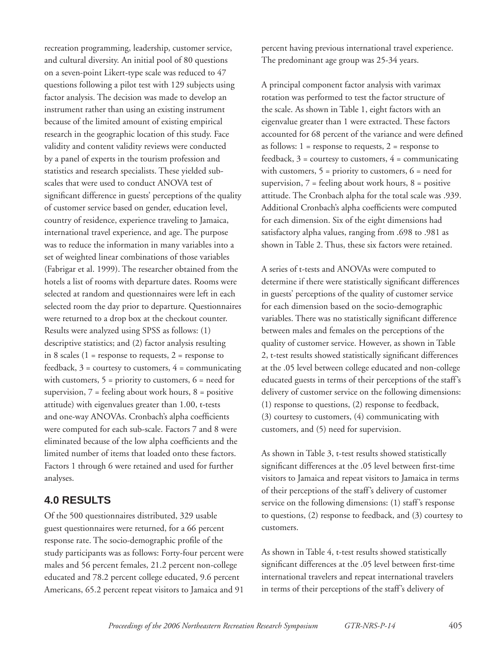recreation programming, leadership, customer service, and cultural diversity. An initial pool of 80 questions on a seven-point Likert-type scale was reduced to 47 questions following a pilot test with 129 subjects using factor analysis. The decision was made to develop an instrument rather than using an existing instrument because of the limited amount of existing empirical research in the geographic location of this study. Face validity and content validity reviews were conducted by a panel of experts in the tourism profession and statistics and research specialists. These yielded subscales that were used to conduct ANOVA test of significant difference in guests' perceptions of the quality of customer service based on gender, education level, country of residence, experience traveling to Jamaica, international travel experience, and age. The purpose was to reduce the information in many variables into a set of weighted linear combinations of those variables (Fabrigar et al. 1999). The researcher obtained from the hotels a list of rooms with departure dates. Rooms were selected at random and questionnaires were left in each selected room the day prior to departure. Questionnaires were returned to a drop box at the checkout counter. Results were analyzed using SPSS as follows: (1) descriptive statistics; and (2) factor analysis resulting in 8 scales ( $1 =$  response to requests,  $2 =$  response to feedback,  $3 =$  courtesy to customers,  $4 =$  communicating with customers,  $5 = \text{priority to customers}, 6 = \text{need for}$ supervision,  $7 =$  feeling about work hours,  $8 =$  positive attitude) with eigenvalues greater than 1.00, t-tests and one-way ANOVAs. Cronbach's alpha coefficients were computed for each sub-scale. Factors 7 and 8 were eliminated because of the low alpha coefficients and the limited number of items that loaded onto these factors. Factors 1 through 6 were retained and used for further analyses.

### **4.0 RESULTS**

Of the 500 questionnaires distributed, 329 usable guest questionnaires were returned, for a 66 percent response rate. The socio-demographic profile of the study participants was as follows: Forty-four percent were males and 56 percent females, 21.2 percent non-college educated and 78.2 percent college educated, 9.6 percent Americans, 65.2 percent repeat visitors to Jamaica and 91

percent having previous international travel experience. The predominant age group was 25-34 years.

A principal component factor analysis with varimax rotation was performed to test the factor structure of the scale. As shown in Table 1, eight factors with an eigenvalue greater than 1 were extracted. These factors accounted for 68 percent of the variance and were defined as follows:  $1 =$  response to requests,  $2 =$  response to feedback,  $3 =$  courtesy to customers,  $4 =$  communicating with customers,  $5 = \text{priority to customers}, 6 = \text{need for}$ supervision,  $7 =$  feeling about work hours,  $8 =$  positive attitude. The Cronbach alpha for the total scale was .939. Additional Cronbach's alpha coefficients were computed for each dimension. Six of the eight dimensions had satisfactory alpha values, ranging from .698 to .981 as shown in Table 2. Thus, these six factors were retained.

A series of t-tests and ANOVAs were computed to determine if there were statistically significant differences in guests' perceptions of the quality of customer service for each dimension based on the socio-demographic variables. There was no statistically significant difference between males and females on the perceptions of the quality of customer service. However, as shown in Table 2, t-test results showed statistically significant differences at the .05 level between college educated and non-college educated guests in terms of their perceptions of the staff's delivery of customer service on the following dimensions: (1) response to questions, (2) response to feedback, (3) courtesy to customers, (4) communicating with customers, and (5) need for supervision.

As shown in Table 3, t-test results showed statistically significant differences at the .05 level between first-time visitors to Jamaica and repeat visitors to Jamaica in terms of their perceptions of the staff's delivery of customer service on the following dimensions: (1) staff's response to questions, (2) response to feedback, and (3) courtesy to customers.

As shown in Table 4, t-test results showed statistically significant differences at the .05 level between first-time international travelers and repeat international travelers in terms of their perceptions of the staff's delivery of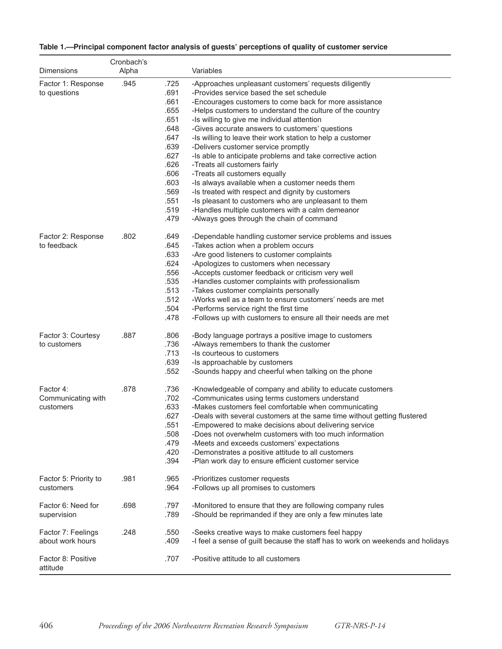| Table 1.—Principal component factor analysis of guests' perceptions of quality of customer service |
|----------------------------------------------------------------------------------------------------|
|----------------------------------------------------------------------------------------------------|

|                                              | Cronbach's |                                                                                                                              |                                                                                                                                                                                                                                                                                                                                                                                                                                                                                                                                                                                                                                                                                                                                                                                                                                 |
|----------------------------------------------|------------|------------------------------------------------------------------------------------------------------------------------------|---------------------------------------------------------------------------------------------------------------------------------------------------------------------------------------------------------------------------------------------------------------------------------------------------------------------------------------------------------------------------------------------------------------------------------------------------------------------------------------------------------------------------------------------------------------------------------------------------------------------------------------------------------------------------------------------------------------------------------------------------------------------------------------------------------------------------------|
| Dimensions                                   | Alpha      |                                                                                                                              | Variables                                                                                                                                                                                                                                                                                                                                                                                                                                                                                                                                                                                                                                                                                                                                                                                                                       |
| Factor 1: Response<br>to questions           | .945       | .725<br>.691<br>.661<br>.655<br>.651<br>.648<br>.647<br>.639<br>.627<br>.626<br>.606<br>.603<br>.569<br>.551<br>.519<br>.479 | -Approaches unpleasant customers' requests diligently<br>-Provides service based the set schedule<br>-Encourages customers to come back for more assistance<br>-Helps customers to understand the culture of the country<br>-Is willing to give me individual attention<br>-Gives accurate answers to customers' questions<br>-Is willing to leave their work station to help a customer<br>-Delivers customer service promptly<br>-Is able to anticipate problems and take corrective action<br>-Treats all customers fairly<br>-Treats all customers equally<br>-Is always available when a customer needs them<br>-Is treated with respect and dignity by customers<br>-Is pleasant to customers who are unpleasant to them<br>-Handles multiple customers with a calm demeanor<br>-Always goes through the chain of command |
| Factor 2: Response<br>to feedback            | .802       | .649<br>.645<br>.633<br>.624<br>.556<br>.535<br>.513<br>.512<br>.504<br>.478                                                 | -Dependable handling customer service problems and issues<br>-Takes action when a problem occurs<br>-Are good listeners to customer complaints<br>-Apologizes to customers when necessary<br>-Accepts customer feedback or criticism very well<br>-Handles customer complaints with professionalism<br>-Takes customer complaints personally<br>-Works well as a team to ensure customers' needs are met<br>-Performs service right the first time<br>-Follows up with customers to ensure all their needs are met                                                                                                                                                                                                                                                                                                              |
| Factor 3: Courtesy<br>to customers           | .887       | .806<br>.736<br>.713<br>.639<br>.552                                                                                         | -Body language portrays a positive image to customers<br>-Always remembers to thank the customer<br>-Is courteous to customers<br>-Is approachable by customers<br>-Sounds happy and cheerful when talking on the phone                                                                                                                                                                                                                                                                                                                                                                                                                                                                                                                                                                                                         |
| Factor 4:<br>Communicating with<br>customers | .878       | .736<br>.702<br>.633<br>.627<br>.551<br>.508<br>.479<br>.420<br>.394                                                         | -Knowledgeable of company and ability to educate customers<br>-Communicates using terms customers understand<br>-Makes customers feel comfortable when communicating<br>-Deals with several customers at the same time without getting flustered<br>-Empowered to make decisions about delivering service<br>-Does not overwhelm customers with too much information<br>-Meets and exceeds customers' expectations<br>-Demonstrates a positive attitude to all customers<br>-Plan work day to ensure efficient customer service                                                                                                                                                                                                                                                                                                 |
| Factor 5: Priority to<br>customers           | .981       | .965<br>.964                                                                                                                 | -Prioritizes customer requests<br>-Follows up all promises to customers                                                                                                                                                                                                                                                                                                                                                                                                                                                                                                                                                                                                                                                                                                                                                         |
| Factor 6: Need for<br>supervision            | .698       | .797<br>.789                                                                                                                 | -Monitored to ensure that they are following company rules<br>-Should be reprimanded if they are only a few minutes late                                                                                                                                                                                                                                                                                                                                                                                                                                                                                                                                                                                                                                                                                                        |
| Factor 7: Feelings<br>about work hours       | .248       | .550<br>.409                                                                                                                 | -Seeks creative ways to make customers feel happy<br>-I feel a sense of guilt because the staff has to work on weekends and holidays                                                                                                                                                                                                                                                                                                                                                                                                                                                                                                                                                                                                                                                                                            |
| Factor 8: Positive<br>attitude               |            | .707                                                                                                                         | -Positive attitude to all customers                                                                                                                                                                                                                                                                                                                                                                                                                                                                                                                                                                                                                                                                                                                                                                                             |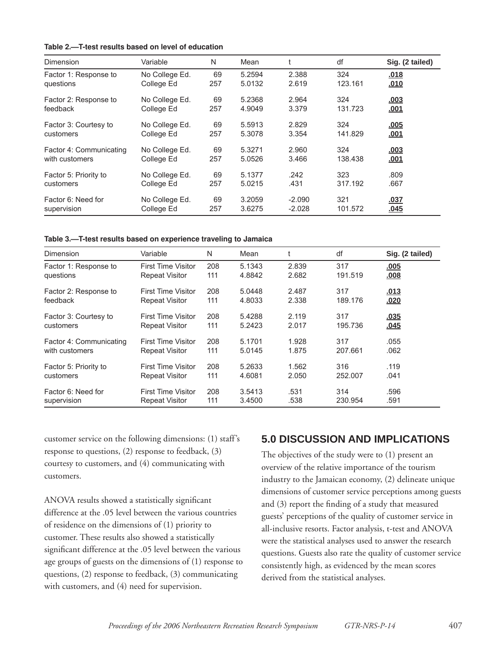| Table 2.—T-test results based on level of education |  |  |  |  |  |  |
|-----------------------------------------------------|--|--|--|--|--|--|
|-----------------------------------------------------|--|--|--|--|--|--|

| Dimension               | Variable       | N   | Mean   |          | df      | Sig. (2 tailed) |
|-------------------------|----------------|-----|--------|----------|---------|-----------------|
| Factor 1: Response to   | No College Ed. | 69  | 5.2594 | 2.388    | 324     | .018            |
| questions               | College Ed     | 257 | 5.0132 | 2.619    | 123.161 | .010            |
| Factor 2: Response to   | No College Ed. | 69  | 5.2368 | 2.964    | 324     | <u>.003</u>     |
| feedback                | College Ed     | 257 | 4.9049 | 3.379    | 131.723 | .001            |
| Factor 3: Courtesy to   | No College Ed. | 69  | 5.5913 | 2.829    | 324     | .005            |
| customers               | College Ed     | 257 | 5.3078 | 3.354    | 141.829 | <u>.001</u>     |
| Factor 4: Communicating | No College Ed. | 69  | 5.3271 | 2.960    | 324     | .003            |
| with customers          | College Ed     | 257 | 5.0526 | 3.466    | 138.438 | .001            |
| Factor 5: Priority to   | No College Ed. | 69  | 5.1377 | .242     | 323     | .809            |
| customers               | College Ed     | 257 | 5.0215 | .431     | 317.192 | .667            |
| Factor 6: Need for      | No College Ed. | 69  | 3.2059 | $-2.090$ | 321     | .037            |
| supervision             | College Ed     | 257 | 3.6275 | $-2.028$ | 101.572 | .045            |

**Table 3.—T-test results based on experience traveling to Jamaica**

| Dimension               | Variable                  | N   | Mean   |       | df      | Sig. (2 tailed) |
|-------------------------|---------------------------|-----|--------|-------|---------|-----------------|
| Factor 1: Response to   | <b>First Time Visitor</b> | 208 | 5.1343 | 2.839 | 317     | .005            |
| questions               | <b>Repeat Visitor</b>     | 111 | 4.8842 | 2.682 | 191.519 | .008            |
| Factor 2: Response to   | <b>First Time Visitor</b> | 208 | 5.0448 | 2.487 | 317     | .013            |
| feedback                | <b>Repeat Visitor</b>     | 111 | 4.8033 | 2.338 | 189.176 | .020            |
| Factor 3: Courtesy to   | <b>First Time Visitor</b> | 208 | 5.4288 | 2.119 | 317     | .035            |
| customers               | <b>Repeat Visitor</b>     | 111 | 5.2423 | 2.017 | 195.736 | .045            |
| Factor 4: Communicating | <b>First Time Visitor</b> | 208 | 5.1701 | 1.928 | 317     | .055            |
| with customers          | <b>Repeat Visitor</b>     | 111 | 5.0145 | 1.875 | 207.661 | .062            |
| Factor 5: Priority to   | <b>First Time Visitor</b> | 208 | 5.2633 | 1.562 | 316     | .119            |
| customers               | <b>Repeat Visitor</b>     | 111 | 4.6081 | 2.050 | 252,007 | .041            |
| Factor 6: Need for      | <b>First Time Visitor</b> | 208 | 3.5413 | .531  | 314     | .596            |
| supervision             | <b>Repeat Visitor</b>     | 111 | 3.4500 | .538  | 230.954 | .591            |

customer service on the following dimensions: (1) staff's response to questions, (2) response to feedback, (3) courtesy to customers, and (4) communicating with customers.

ANOVA results showed a statistically significant difference at the .05 level between the various countries of residence on the dimensions of (1) priority to customer. These results also showed a statistically significant difference at the .05 level between the various age groups of guests on the dimensions of (1) response to questions, (2) response to feedback, (3) communicating with customers, and (4) need for supervision.

#### **5.0 DISCUSSION AND IMPLICATIONS**

The objectives of the study were to (1) present an overview of the relative importance of the tourism industry to the Jamaican economy, (2) delineate unique dimensions of customer service perceptions among guests and  $(3)$  report the finding of a study that measured guests' perceptions of the quality of customer service in all-inclusive resorts. Factor analysis, t-test and ANOVA were the statistical analyses used to answer the research questions. Guests also rate the quality of customer service consistently high, as evidenced by the mean scores derived from the statistical analyses.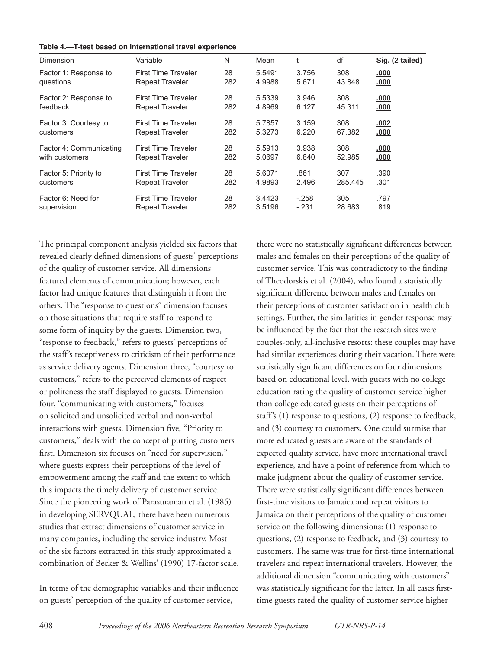| Table 4.-T-test based on international travel experience |
|----------------------------------------------------------|
|----------------------------------------------------------|

| Dimension               | Variable                   | N   | Mean   |         | df      | Sig. (2 tailed) |
|-------------------------|----------------------------|-----|--------|---------|---------|-----------------|
| Factor 1: Response to   | <b>First Time Traveler</b> | 28  | 5.5491 | 3.756   | 308     | .000            |
| questions               | <b>Repeat Traveler</b>     | 282 | 4.9988 | 5.671   | 43.848  | .000            |
| Factor 2: Response to   | <b>First Time Traveler</b> | 28  | 5.5339 | 3.946   | 308     | .000            |
| feedback                | <b>Repeat Traveler</b>     | 282 | 4.8969 | 6.127   | 45.311  | .000            |
| Factor 3: Courtesy to   | <b>First Time Traveler</b> | 28  | 5.7857 | 3.159   | 308     | <u>.002</u>     |
| customers               | <b>Repeat Traveler</b>     | 282 | 5.3273 | 6.220   | 67.382  | .000            |
| Factor 4: Communicating | <b>First Time Traveler</b> | 28  | 5.5913 | 3.938   | 308     | .000            |
| with customers          | <b>Repeat Traveler</b>     | 282 | 5.0697 | 6.840   | 52.985  | <u>.000</u>     |
| Factor 5: Priority to   | <b>First Time Traveler</b> | 28  | 5.6071 | .861    | 307     | .390            |
| customers               | <b>Repeat Traveler</b>     | 282 | 4.9893 | 2.496   | 285.445 | .301            |
| Factor 6: Need for      | <b>First Time Traveler</b> | 28  | 3.4423 | $-.258$ | 305     | .797            |
| supervision             | <b>Repeat Traveler</b>     | 282 | 3.5196 | $-.231$ | 28.683  | .819            |

The principal component analysis yielded six factors that revealed clearly defined dimensions of guests' perceptions of the quality of customer service. All dimensions featured elements of communication; however, each factor had unique features that distinguish it from the others. The "response to questions" dimension focuses on those situations that require staff to respond to some form of inquiry by the guests. Dimension two, "response to feedback," refers to guests' perceptions of the staff's receptiveness to criticism of their performance as service delivery agents. Dimension three, "courtesy to customers," refers to the perceived elements of respect or politeness the staff displayed to guests. Dimension four, "communicating with customers," focuses on solicited and unsolicited verbal and non-verbal interactions with guests. Dimension five, "Priority to customers," deals with the concept of putting customers first. Dimension six focuses on "need for supervision," where guests express their perceptions of the level of empowerment among the staff and the extent to which this impacts the timely delivery of customer service. Since the pioneering work of Parasuraman et al. (1985) in developing SERVQUAL, there have been numerous studies that extract dimensions of customer service in many companies, including the service industry. Most of the six factors extracted in this study approximated a combination of Becker & Wellins' (1990) 17-factor scale.

In terms of the demographic variables and their influence on guests' perception of the quality of customer service,

there were no statistically significant differences between males and females on their perceptions of the quality of customer service. This was contradictory to the finding of Theodorskis et al. (2004), who found a statistically significant difference between males and females on their perceptions of customer satisfaction in health club settings. Further, the similarities in gender response may be influenced by the fact that the research sites were couples-only, all-inclusive resorts: these couples may have had similar experiences during their vacation. There were statistically significant differences on four dimensions based on educational level, with guests with no college education rating the quality of customer service higher than college educated guests on their perceptions of staff's (1) response to questions, (2) response to feedback, and (3) courtesy to customers. One could surmise that more educated guests are aware of the standards of expected quality service, have more international travel experience, and have a point of reference from which to make judgment about the quality of customer service. There were statistically significant differences between first-time visitors to Jamaica and repeat visitors to Jamaica on their perceptions of the quality of customer service on the following dimensions: (1) response to questions, (2) response to feedback, and (3) courtesy to customers. The same was true for first-time international travelers and repeat international travelers. However, the additional dimension "communicating with customers" was statistically significant for the latter. In all cases firsttime guests rated the quality of customer service higher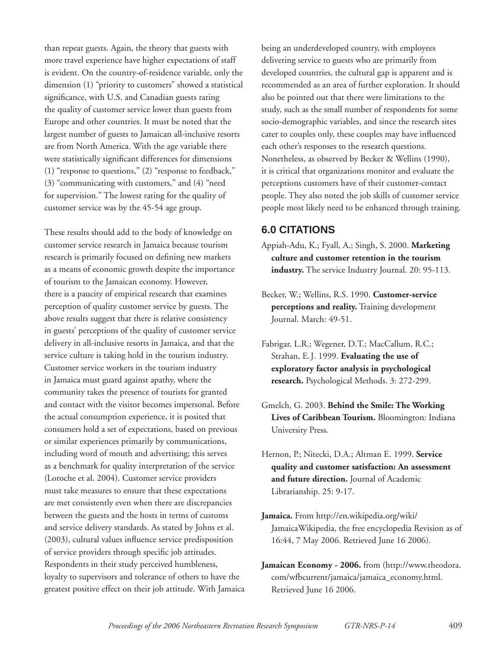than repeat guests. Again, the theory that guests with more travel experience have higher expectations of staff is evident. On the country-of-residence variable, only the dimension (1) "priority to customers" showed a statistical significance, with U.S. and Canadian guests rating the quality of customer service lower than guests from Europe and other countries. It must be noted that the largest number of guests to Jamaican all-inclusive resorts are from North America. With the age variable there were statistically significant differences for dimensions (1) "response to questions," (2) "response to feedback," (3) "communicating with customers," and (4) "need for supervision." The lowest rating for the quality of customer service was by the 45-54 age group.

These results should add to the body of knowledge on customer service research in Jamaica because tourism research is primarily focused on defining new markets as a means of economic growth despite the importance of tourism to the Jamaican economy. However, there is a paucity of empirical research that examines perception of quality customer service by guests. The above results suggest that there is relative consistency in guests' perceptions of the quality of customer service delivery in all-inclusive resorts in Jamaica, and that the service culture is taking hold in the tourism industry. Customer service workers in the tourism industry in Jamaica must guard against apathy, where the community takes the presence of tourists for granted and contact with the visitor becomes impersonal. Before the actual consumption experience, it is posited that consumers hold a set of expectations, based on previous or similar experiences primarily by communications, including word of mouth and advertising; this serves as a benchmark for quality interpretation of the service (Loroche et al. 2004). Customer service providers must take measures to ensure that these expectations are met consistently even when there are discrepancies between the guests and the hosts in terms of customs and service delivery standards. As stated by Johns et al. (2003), cultural values influence service predisposition of service providers through specific job attitudes. Respondents in their study perceived humbleness, loyalty to supervisors and tolerance of others to have the greatest positive effect on their job attitude. With Jamaica being an underdeveloped country, with employees delivering service to guests who are primarily from developed countries, the cultural gap is apparent and is recommended as an area of further exploration. It should also be pointed out that there were limitations to the study, such as the small number of respondents for some socio-demographic variables, and since the research sites cater to couples only, these couples may have influenced each other's responses to the research questions. Nonetheless, as observed by Becker & Wellins (1990), it is critical that organizations monitor and evaluate the perceptions customers have of their customer-contact people. They also noted the job skills of customer service people most likely need to be enhanced through training.

### **6.0 CITATIONS**

- Appiah-Adu, K.; Fyall, A.; Singh, S. 2000. **Marketing culture and customer retention in the tourism industry.** The service Industry Journal. 20: 95-113.
- Becker, W.; Wellins, R.S. 1990. **Customer-service perceptions and reality.** Training development Journal. March: 49-51.
- Fabrigar, L.R.; Wegener, D.T.; MacCallum, R.C.; Strahan, E.J. 1999. **Evaluating the use of exploratory factor analysis in psychological research.** Psychological Methods. 3: 272-299.
- Gmelch, G. 2003. **Behind the Smile: The Working Lives of Caribbean Tourism.** Bloomington: Indiana University Press.
- Hernon, P.; Nitecki, D.A.; Altman E. 1999. **Service quality and customer satisfaction: An assessment and future direction.** Journal of Academic Librarianship. 25: 9-17.
- **Jamaica.** From http://en.wikipedia.org/wiki/ JamaicaWikipedia, the free encyclopedia Revision as of 16:44, 7 May 2006. Retrieved June 16 2006).
- **Jamaican Economy 2006.** from (http://www.theodora. com/wfbcurrent/jamaica/jamaica\_economy.html. Retrieved June 16 2006.